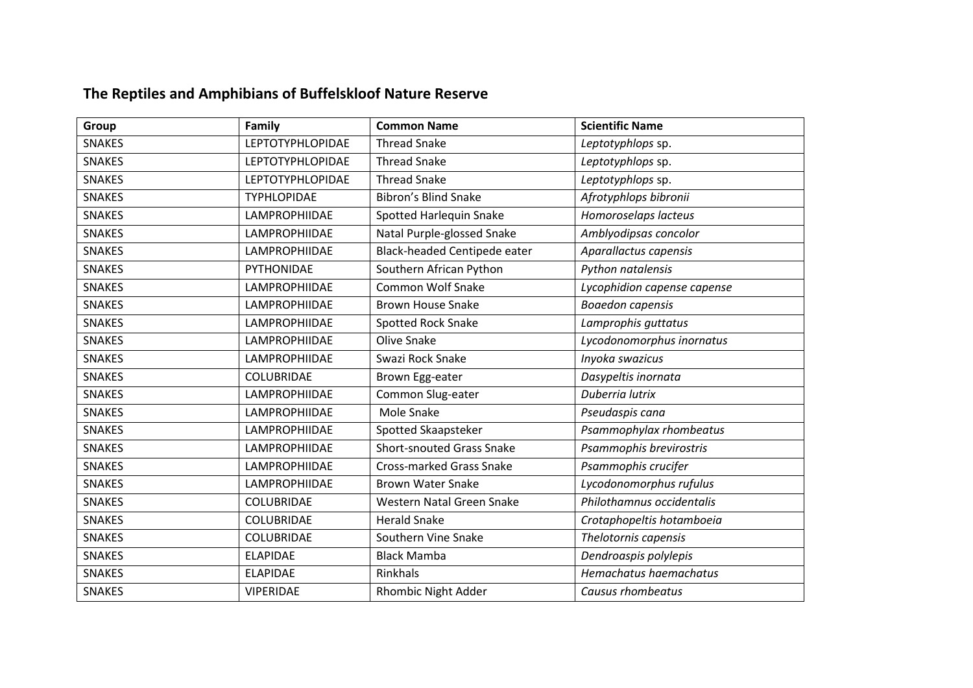## **The Reptiles and Amphibians of Buffelskloof Nature Reserve**

| Group         | Family                  | <b>Common Name</b>               | <b>Scientific Name</b>      |
|---------------|-------------------------|----------------------------------|-----------------------------|
| <b>SNAKES</b> | <b>LEPTOTYPHLOPIDAE</b> | <b>Thread Snake</b>              | Leptotyphlops sp.           |
| <b>SNAKES</b> | <b>LEPTOTYPHLOPIDAE</b> | <b>Thread Snake</b>              | Leptotyphlops sp.           |
| <b>SNAKES</b> | <b>LEPTOTYPHLOPIDAE</b> | <b>Thread Snake</b>              | Leptotyphlops sp.           |
| <b>SNAKES</b> | <b>TYPHLOPIDAE</b>      | Bibron's Blind Snake             | Afrotyphlops bibronii       |
| <b>SNAKES</b> | LAMPROPHIIDAE           | Spotted Harlequin Snake          | Homoroselaps lacteus        |
| <b>SNAKES</b> | LAMPROPHIIDAE           | Natal Purple-glossed Snake       | Amblyodipsas concolor       |
| <b>SNAKES</b> | LAMPROPHIIDAE           | Black-headed Centipede eater     | Aparallactus capensis       |
| <b>SNAKES</b> | PYTHONIDAE              | Southern African Python          | Python natalensis           |
| <b>SNAKES</b> | <b>LAMPROPHIIDAE</b>    | <b>Common Wolf Snake</b>         | Lycophidion capense capense |
| <b>SNAKES</b> | LAMPROPHIIDAE           | <b>Brown House Snake</b>         | <b>Boaedon capensis</b>     |
| <b>SNAKES</b> | LAMPROPHIIDAE           | Spotted Rock Snake               | Lamprophis guttatus         |
| <b>SNAKES</b> | LAMPROPHIIDAE           | Olive Snake                      | Lycodonomorphus inornatus   |
| <b>SNAKES</b> | <b>LAMPROPHIIDAE</b>    | Swazi Rock Snake                 | Inyoka swazicus             |
| <b>SNAKES</b> | COLUBRIDAE              | Brown Egg-eater                  | Dasypeltis inornata         |
| <b>SNAKES</b> | LAMPROPHIIDAE           | Common Slug-eater                | Duberria lutrix             |
| <b>SNAKES</b> | LAMPROPHIIDAE           | Mole Snake                       | Pseudaspis cana             |
| <b>SNAKES</b> | LAMPROPHIIDAE           | Spotted Skaapsteker              | Psammophylax rhombeatus     |
| <b>SNAKES</b> | LAMPROPHIIDAE           | <b>Short-snouted Grass Snake</b> | Psammophis brevirostris     |
| <b>SNAKES</b> | LAMPROPHIIDAE           | Cross-marked Grass Snake         | Psammophis crucifer         |
| <b>SNAKES</b> | LAMPROPHIIDAE           | <b>Brown Water Snake</b>         | Lycodonomorphus rufulus     |
| <b>SNAKES</b> | COLUBRIDAE              | Western Natal Green Snake        | Philothamnus occidentalis   |
| <b>SNAKES</b> | COLUBRIDAE              | <b>Herald Snake</b>              | Crotaphopeltis hotamboeia   |
| <b>SNAKES</b> | COLUBRIDAE              | Southern Vine Snake              | Thelotornis capensis        |
| <b>SNAKES</b> | <b>ELAPIDAE</b>         | <b>Black Mamba</b>               | Dendroaspis polylepis       |
| <b>SNAKES</b> | <b>ELAPIDAE</b>         | Rinkhals                         | Hemachatus haemachatus      |
| <b>SNAKES</b> | <b>VIPERIDAE</b>        | Rhombic Night Adder              | Causus rhombeatus           |